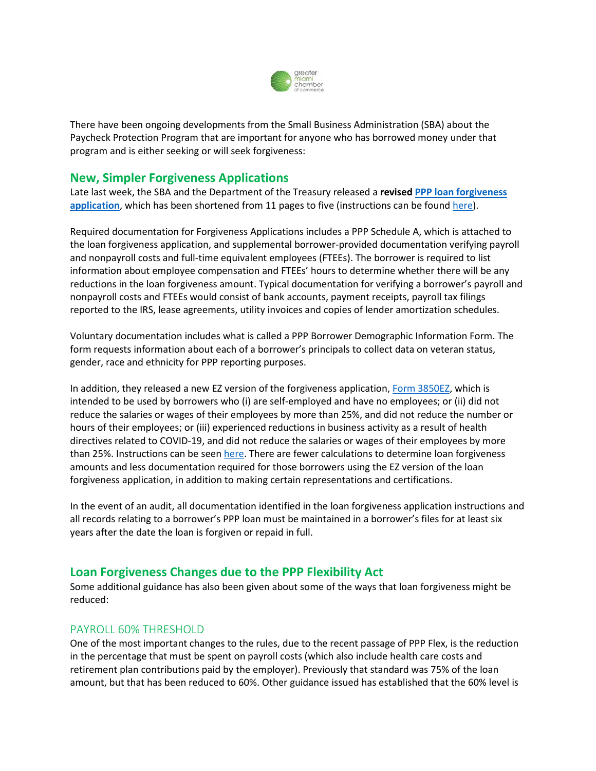

There have been ongoing developments from the Small Business Administration (SBA) about the Paycheck Protection Program that are important for anyone who has borrowed money under that program and is either seeking or will seek forgiveness:

# **New, Simpler Forgiveness Applications**

Late last week, the SBA and the Department of the Treasury released a **revise[d PPP loan forgiveness](https://content.sba.gov/sites/default/files/2020-06/PPP%20Loan%20Forgiveness%20Application%20%28Revised%206.16.2020%29.pdf?utm_medium=email&utm_source=govdelivery)  [application](https://content.sba.gov/sites/default/files/2020-06/PPP%20Loan%20Forgiveness%20Application%20%28Revised%206.16.2020%29.pdf?utm_medium=email&utm_source=govdelivery)**, which has been shortened from 11 pages to five (instructions can be found [here\)](https://home.treasury.gov/system/files/136/PPP-Loan-Forgiveness-Application-Instructions_1_0.pdf).

Required documentation for Forgiveness Applications includes a PPP Schedule A, which is attached to the loan forgiveness application, and supplemental borrower-provided documentation verifying payroll and nonpayroll costs and full-time equivalent employees (FTEEs). The borrower is required to list information about employee compensation and FTEEs' hours to determine whether there will be any reductions in the loan forgiveness amount. Typical documentation for verifying a borrower's payroll and nonpayroll costs and FTEEs would consist of bank accounts, payment receipts, payroll tax filings reported to the IRS, lease agreements, utility invoices and copies of lender amortization schedules.

Voluntary documentation includes what is called a PPP Borrower Demographic Information Form. The form requests information about each of a borrower's principals to collect data on veteran status, gender, race and ethnicity for PPP reporting purposes.

In addition, they released a new EZ version of the forgiveness application, [Form 3850EZ,](https://home.treasury.gov/system/files/136/PPP-Forgiveness-Application-3508EZ.pdf) which is intended to be used by borrowers who (i) are self-employed and have no employees; or (ii) did not reduce the salaries or wages of their employees by more than 25%, and did not reduce the number or hours of their employees; or (iii) experienced reductions in business activity as a result of health directives related to COVID-19, and did not reduce the salaries or wages of their employees by more than 25%. Instructions can be seen [here.](https://home.treasury.gov/system/files/136/PPP-Loan-Forgiveness-Application-Form-EZ-Instructions.pdf) There are fewer calculations to determine loan forgiveness amounts and less documentation required for those borrowers using the EZ version of the loan forgiveness application, in addition to making certain representations and certifications.

In the event of an audit, all documentation identified in the loan forgiveness application instructions and all records relating to a borrower's PPP loan must be maintained in a borrower's files for at least six years after the date the loan is forgiven or repaid in full.

# **Loan Forgiveness Changes due to the PPP Flexibility Act**

Some additional guidance has also been given about some of the ways that loan forgiveness might be reduced:

# PAYROLL 60% THRESHOLD

One of the most important changes to the rules, due to the recent passage of PPP Flex, is the reduction in the percentage that must be spent on payroll costs (which also include health care costs and retirement plan contributions paid by the employer). Previously that standard was 75% of the loan amount, but that has been reduced to 60%. Other guidance issued has established that the 60% level is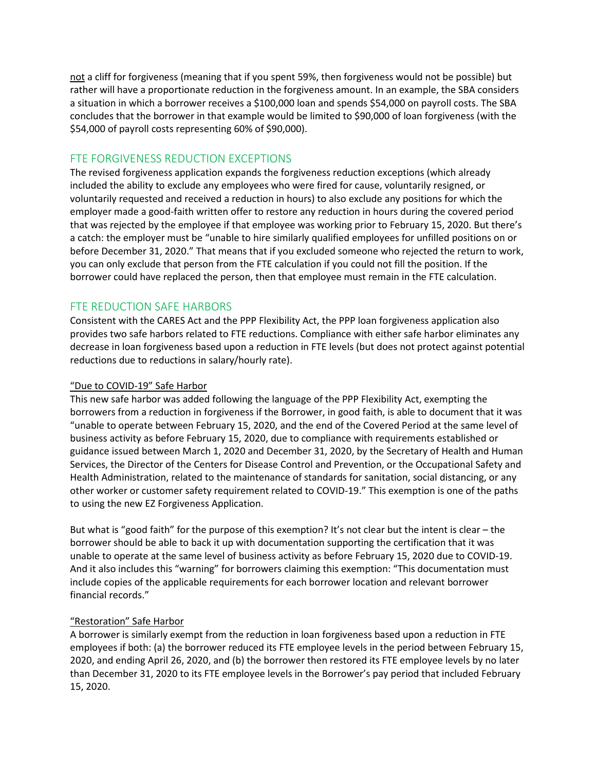not a cliff for forgiveness (meaning that if you spent 59%, then forgiveness would not be possible) but rather will have a proportionate reduction in the forgiveness amount. In an example, the SBA considers a situation in which a borrower receives a \$100,000 loan and spends \$54,000 on payroll costs. The SBA concludes that the borrower in that example would be limited to \$90,000 of loan forgiveness (with the \$54,000 of payroll costs representing 60% of \$90,000).

### FTE FORGIVENESS REDUCTION EXCEPTIONS

The revised forgiveness application expands the forgiveness reduction exceptions (which already included the ability to exclude any employees who were fired for cause, voluntarily resigned, or voluntarily requested and received a reduction in hours) to also exclude any positions for which the employer made a good-faith written offer to restore any reduction in hours during the covered period that was rejected by the employee if that employee was working prior to February 15, 2020. But there's a catch: the employer must be "unable to hire similarly qualified employees for unfilled positions on or before December 31, 2020." That means that if you excluded someone who rejected the return to work, you can only exclude that person from the FTE calculation if you could not fill the position. If the borrower could have replaced the person, then that employee must remain in the FTE calculation.

### FTE REDUCTION SAFE HARBORS

Consistent with the CARES Act and the PPP Flexibility Act, the PPP loan forgiveness application also provides two safe harbors related to FTE reductions. Compliance with either safe harbor eliminates any decrease in loan forgiveness based upon a reduction in FTE levels (but does not protect against potential reductions due to reductions in salary/hourly rate).

#### "Due to COVID-19" Safe Harbor

This new safe harbor was added following the language of the PPP Flexibility Act, exempting the borrowers from a reduction in forgiveness if the Borrower, in good faith, is able to document that it was "unable to operate between February 15, 2020, and the end of the Covered Period at the same level of business activity as before February 15, 2020, due to compliance with requirements established or guidance issued between March 1, 2020 and December 31, 2020, by the Secretary of Health and Human Services, the Director of the Centers for Disease Control and Prevention, or the Occupational Safety and Health Administration, related to the maintenance of standards for sanitation, social distancing, or any other worker or customer safety requirement related to COVID-19." This exemption is one of the paths to using the new EZ Forgiveness Application.

But what is "good faith" for the purpose of this exemption? It's not clear but the intent is clear – the borrower should be able to back it up with documentation supporting the certification that it was unable to operate at the same level of business activity as before February 15, 2020 due to COVID-19. And it also includes this "warning" for borrowers claiming this exemption: "This documentation must include copies of the applicable requirements for each borrower location and relevant borrower financial records."

#### "Restoration" Safe Harbor

A borrower is similarly exempt from the reduction in loan forgiveness based upon a reduction in FTE employees if both: (a) the borrower reduced its FTE employee levels in the period between February 15, 2020, and ending April 26, 2020, and (b) the borrower then restored its FTE employee levels by no later than December 31, 2020 to its FTE employee levels in the Borrower's pay period that included February 15, 2020.